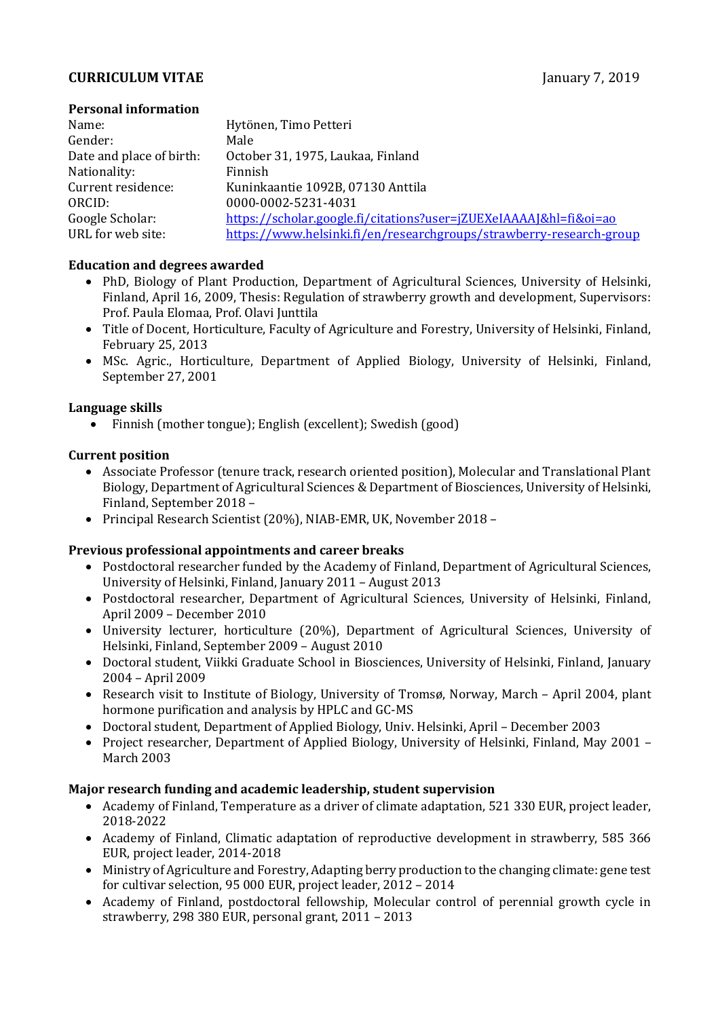### **CURRICULUM VITAE January 7, 2019**

#### **Personal information**

| Name:                    | Hytönen, Timo Petteri                                               |
|--------------------------|---------------------------------------------------------------------|
| Gender:                  | Male                                                                |
| Date and place of birth: | October 31, 1975, Laukaa, Finland                                   |
| Nationality:             | Finnish                                                             |
| Current residence:       | Kuninkaantie 1092B, 07130 Anttila                                   |
| ORCID:                   | 0000-0002-5231-4031                                                 |
| Google Scholar:          | https://scholar.google.fi/citations?user=jZUEXeIAAAA[&hl=fi&oi=ao   |
| URL for web site:        | https://www.helsinki.fi/en/researchgroups/strawberry-research-group |

#### **Education and degrees awarded**

- PhD, Biology of Plant Production, Department of Agricultural Sciences, University of Helsinki, Finland, April 16, 2009, Thesis: Regulation of strawberry growth and development, Supervisors: Prof. Paula Elomaa, Prof. Olavi Junttila
- Title of Docent, Horticulture, Faculty of Agriculture and Forestry, University of Helsinki, Finland, February 25, 2013
- MSc. Agric., Horticulture, Department of Applied Biology, University of Helsinki, Finland, September 27, 2001

#### **Language skills**

• Finnish (mother tongue); English (excellent); Swedish (good)

#### **Current position**

- Associate Professor (tenure track, research oriented position), Molecular and Translational Plant Biology, Department of Agricultural Sciences & Department of Biosciences, University of Helsinki, Finland, September 2018 –
- Principal Research Scientist (20%), NIAB-EMR, UK, November 2018 -

## **Previous professional appointments and career breaks**

- Postdoctoral researcher funded by the Academy of Finland, Department of Agricultural Sciences, University of Helsinki, Finland, January 2011 – August 2013
- Postdoctoral researcher, Department of Agricultural Sciences, University of Helsinki, Finland, April 2009 – December 2010
- University lecturer, horticulture (20%), Department of Agricultural Sciences, University of Helsinki, Finland, September 2009 – August 2010
- Doctoral student, Viikki Graduate School in Biosciences, University of Helsinki, Finland, January 2004 – April 2009
- Research visit to Institute of Biology, University of Tromsø, Norway, March April 2004, plant hormone purification and analysis by HPLC and GC-MS
- Doctoral student, Department of Applied Biology, Univ. Helsinki, April December 2003
- Project researcher, Department of Applied Biology, University of Helsinki, Finland, May 2001 March 2003

## **Major research funding and academic leadership, student supervision**

- Academy of Finland, Temperature as a driver of climate adaptation, 521 330 EUR, project leader, 2018-2022
- Academy of Finland, Climatic adaptation of reproductive development in strawberry, 585 366 EUR, project leader, 2014-2018
- Ministry of Agriculture and Forestry, Adapting berry production to the changing climate: gene test for cultivar selection, 95 000 EUR, project leader, 2012 – 2014
- Academy of Finland, postdoctoral fellowship, Molecular control of perennial growth cycle in strawberry, 298 380 EUR, personal grant, 2011 – 2013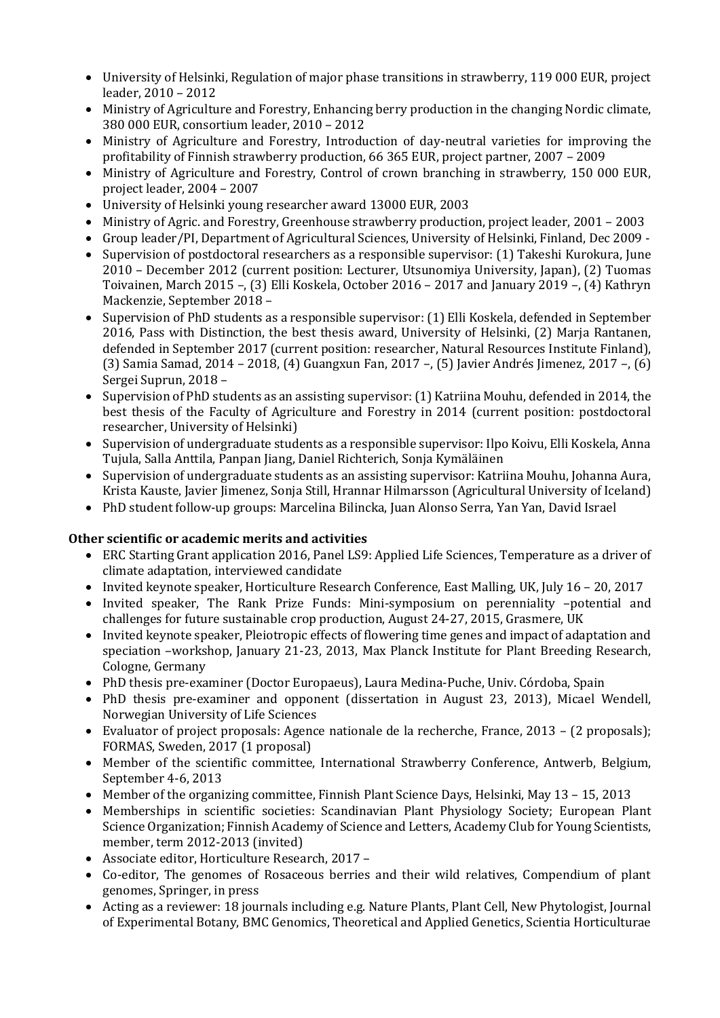- University of Helsinki, Regulation of major phase transitions in strawberry, 119 000 EUR, project leader, 2010 – 2012
- Ministry of Agriculture and Forestry, Enhancing berry production in the changing Nordic climate, 380 000 EUR, consortium leader, 2010 – 2012
- Ministry of Agriculture and Forestry, Introduction of day-neutral varieties for improving the profitability of Finnish strawberry production, 66 365 EUR, project partner, 2007 – 2009
- Ministry of Agriculture and Forestry, Control of crown branching in strawberry, 150 000 EUR, project leader, 2004 – 2007
- University of Helsinki young researcher award 13000 EUR, 2003
- Ministry of Agric. and Forestry, Greenhouse strawberry production, project leader, 2001 2003
- Group leader/PI, Department of Agricultural Sciences, University of Helsinki, Finland, Dec 2009 -
- Supervision of postdoctoral researchers as a responsible supervisor: (1) Takeshi Kurokura, June 2010 – December 2012 (current position: Lecturer, Utsunomiya University, Japan), (2) Tuomas Toivainen, March 2015 –, (3) Elli Koskela, October 2016 – 2017 and January 2019 –, (4) Kathryn Mackenzie, September 2018 –
- Supervision of PhD students as a responsible supervisor: (1) Elli Koskela, defended in September 2016, Pass with Distinction, the best thesis award, University of Helsinki, (2) Marja Rantanen, defended in September 2017 (current position: researcher, Natural Resources Institute Finland), (3) Samia Samad, 2014 – 2018, (4) Guangxun Fan, 2017 –, (5) Javier Andrés Jimenez, 2017 –, (6) Sergei Suprun, 2018 –
- Supervision of PhD students as an assisting supervisor: (1) Katriina Mouhu, defended in 2014, the best thesis of the Faculty of Agriculture and Forestry in 2014 (current position: postdoctoral researcher, University of Helsinki)
- Supervision of undergraduate students as a responsible supervisor: Ilpo Koivu, Elli Koskela, Anna Tujula, Salla Anttila, Panpan Jiang, Daniel Richterich, Sonja Kymäläinen
- Supervision of undergraduate students as an assisting supervisor: Katriina Mouhu, Johanna Aura, Krista Kauste, Javier Jimenez, Sonja Still, Hrannar Hilmarsson (Agricultural University of Iceland)
- PhD student follow-up groups: Marcelina Bilincka, Juan Alonso Serra, Yan Yan, David Israel

## **Other scientific or academic merits and activities**

- ERC Starting Grant application 2016, Panel LS9: Applied Life Sciences, Temperature as a driver of climate adaptation, interviewed candidate
- Invited keynote speaker, Horticulture Research Conference, East Malling, UK, July 16 20, 2017
- Invited speaker, The Rank Prize Funds: Mini-symposium on perenniality –potential and challenges for future sustainable crop production, August 24-27, 2015, Grasmere, UK
- Invited keynote speaker, Pleiotropic effects of flowering time genes and impact of adaptation and speciation –workshop, January 21-23, 2013, Max Planck Institute for Plant Breeding Research, Cologne, Germany
- PhD thesis pre-examiner (Doctor Europaeus), Laura Medina-Puche, Univ. Córdoba, Spain
- PhD thesis pre-examiner and opponent (dissertation in August 23, 2013), Micael Wendell, Norwegian University of Life Sciences
- Evaluator of project proposals: Agence nationale de la recherche, France, 2013 (2 proposals); FORMAS, Sweden, 2017 (1 proposal)
- Member of the scientific committee, International Strawberry Conference, Antwerb, Belgium, September 4-6, 2013
- Member of the organizing committee, Finnish Plant Science Days, Helsinki, May 13 15, 2013
- Memberships in scientific societies: Scandinavian Plant Physiology Society; European Plant Science Organization; Finnish Academy of Science and Letters, Academy Club for Young Scientists, member, term 2012-2013 (invited)
- Associate editor, Horticulture Research, 2017 –
- Co-editor, The genomes of Rosaceous berries and their wild relatives, Compendium of plant genomes, Springer, in press
- Acting as a reviewer: 18 journals including e.g. Nature Plants, Plant Cell, New Phytologist, Journal of Experimental Botany, BMC Genomics, Theoretical and Applied Genetics, Scientia Horticulturae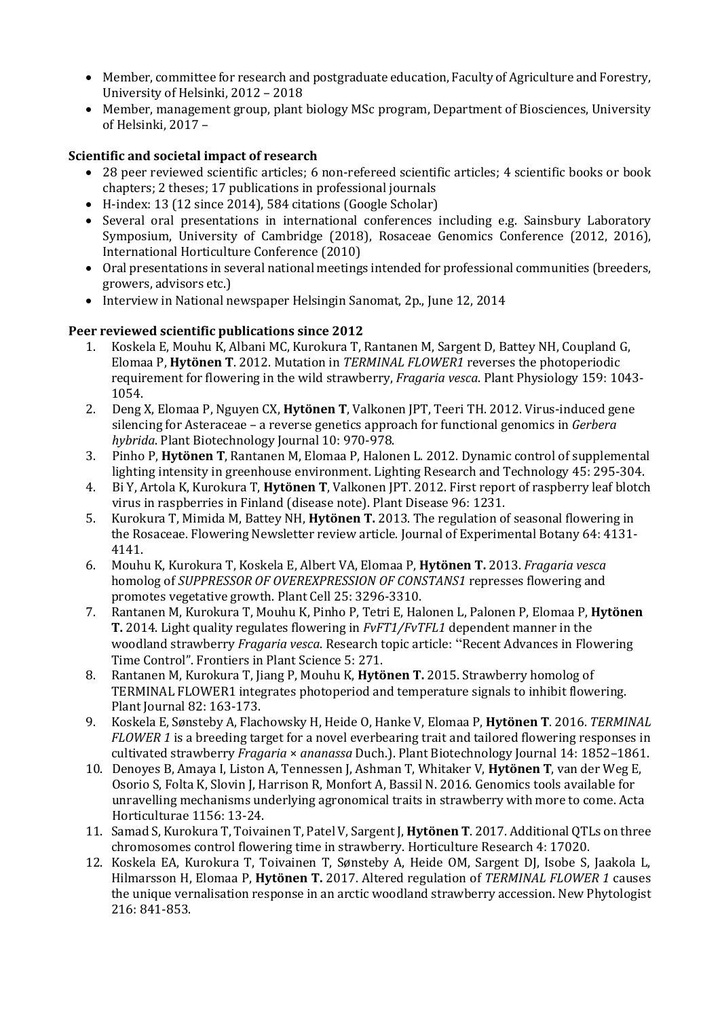- Member, committee for research and postgraduate education, Faculty of Agriculture and Forestry, University of Helsinki, 2012 – 2018
- Member, management group, plant biology MSc program, Department of Biosciences, University of Helsinki, 2017 –

# **Scientific and societal impact of research**

- 28 peer reviewed scientific articles; 6 non-refereed scientific articles; 4 scientific books or book chapters; 2 theses; 17 publications in professional journals
- H-index: 13 (12 since 2014), 584 citations (Google Scholar)
- Several oral presentations in international conferences including e.g. Sainsbury Laboratory Symposium, University of Cambridge (2018), Rosaceae Genomics Conference (2012, 2016), International Horticulture Conference (2010)
- Oral presentations in several national meetings intended for professional communities (breeders, growers, advisors etc.)
- Interview in National newspaper Helsingin Sanomat, 2p., June 12, 2014

## **Peer reviewed scientific publications since 2012**

- 1. Koskela E, Mouhu K, Albani MC, Kurokura T, Rantanen M, Sargent D, Battey NH, Coupland G, Elomaa P, **Hytönen T**. 2012. Mutation in *TERMINAL FLOWER1* reverses the photoperiodic requirement for flowering in the wild strawberry, *Fragaria vesca*. Plant Physiology 159: 1043- 1054.
- 2. Deng X, Elomaa P, Nguyen CX, **Hytönen T**, Valkonen JPT, Teeri TH. 2012. Virus-induced gene silencing for Asteraceae – a reverse genetics approach for functional genomics in *Gerbera hybrida*. Plant Biotechnology Journal 10: 970-978.
- 3. Pinho P, **Hytönen T**, Rantanen M, Elomaa P, Halonen L. 2012. Dynamic control of supplemental lighting intensity in greenhouse environment. Lighting Research and Technology 45: 295-304.
- 4. Bi Y, Artola K, Kurokura T, **Hytönen T**, Valkonen JPT. 2012. First report of raspberry leaf blotch virus in raspberries in Finland (disease note). Plant Disease 96: 1231.
- 5. Kurokura T, Mimida M, Battey NH, **Hytönen T.** 2013. The regulation of seasonal flowering in the Rosaceae. Flowering Newsletter review article. Journal of Experimental Botany 64: 4131- 4141.
- 6. Mouhu K, Kurokura T, Koskela E, Albert VA, Elomaa P, **Hytönen T.** 2013. *Fragaria vesca*  homolog of *SUPPRESSOR OF OVEREXPRESSION OF CONSTANS1* represses flowering and promotes vegetative growth. Plant Cell 25: 3296-3310.
- 7. Rantanen M, Kurokura T, Mouhu K, Pinho P, Tetri E, Halonen L, Palonen P, Elomaa P, **Hytönen T.** 2014. Light quality regulates flowering in *FvFT1/FvTFL1* dependent manner in the woodland strawberry *Fragaria vesca*. Research topic article: "Recent Advances in Flowering Time Control". Frontiers in Plant Science 5: 271.
- 8. Rantanen M, Kurokura T, Jiang P, Mouhu K, **Hytönen T.** 2015. Strawberry homolog of TERMINAL FLOWER1 integrates photoperiod and temperature signals to inhibit flowering. Plant Journal 82: 163-173.
- 9. Koskela E, Sønsteby A, Flachowsky H, Heide O, Hanke V, Elomaa P, **Hytönen T**. 2016. *TERMINAL FLOWER 1* is a breeding target for a novel everbearing trait and tailored flowering responses in cultivated strawberry *Fragaria* × *ananassa* Duch.). Plant Biotechnology Journal 14: 1852–1861.
- 10. Denoyes B, Amaya I, Liston A, Tennessen J, Ashman T, Whitaker V, **Hytönen T**, van der Weg E, Osorio S, Folta K, Slovin J, Harrison R, Monfort A, Bassil N. 2016. Genomics tools available for unravelling mechanisms underlying agronomical traits in strawberry with more to come. Acta Horticulturae 1156: 13-24.
- 11. Samad S, Kurokura T, Toivainen T, Patel V, Sargent J, **Hytönen T**. 2017. Additional QTLs on three chromosomes control flowering time in strawberry. Horticulture Research 4: 17020.
- 12. Koskela EA, Kurokura T, Toivainen T, Sønsteby A, Heide OM, Sargent DJ, Isobe S, Jaakola L, Hilmarsson H, Elomaa P, **Hytönen T.** 2017. Altered regulation of *TERMINAL FLOWER 1* causes the unique vernalisation response in an arctic woodland strawberry accession. New Phytologist 216: 841-853.